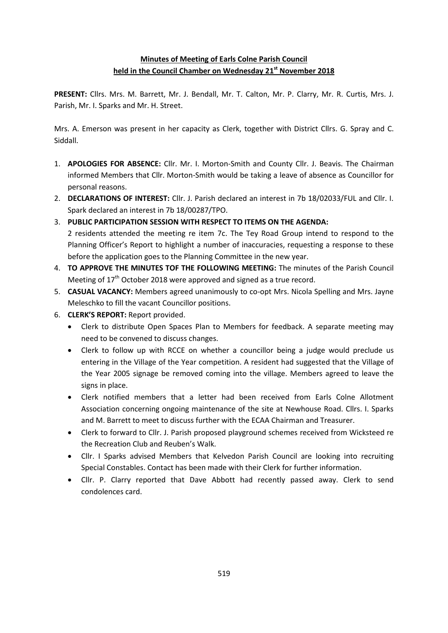## **Minutes of Meeting of Earls Colne Parish Council held in the Council Chamber on Wednesday 21st November 2018**

**PRESENT:** Cllrs. Mrs. M. Barrett, Mr. J. Bendall, Mr. T. Calton, Mr. P. Clarry, Mr. R. Curtis, Mrs. J. Parish, Mr. I. Sparks and Mr. H. Street.

Mrs. A. Emerson was present in her capacity as Clerk, together with District Cllrs. G. Spray and C. Siddall.

- 1. **APOLOGIES FOR ABSENCE:** Cllr. Mr. I. Morton-Smith and County Cllr. J. Beavis. The Chairman informed Members that Cllr. Morton-Smith would be taking a leave of absence as Councillor for personal reasons.
- 2. **DECLARATIONS OF INTEREST:** Cllr. J. Parish declared an interest in 7b 18/02033/FUL and Cllr. I. Spark declared an interest in 7b 18/00287/TPO.
- 3. **PUBLIC PARTICIPATION SESSION WITH RESPECT TO ITEMS ON THE AGENDA:** 2 residents attended the meeting re item 7c. The Tey Road Group intend to respond to the Planning Officer's Report to highlight a number of inaccuracies, requesting a response to these before the application goes to the Planning Committee in the new year.
- 4. **TO APPROVE THE MINUTES TOF THE FOLLOWING MEETING:** The minutes of the Parish Council Meeting of 17<sup>th</sup> October 2018 were approved and signed as a true record.
- 5. **CASUAL VACANCY:** Members agreed unanimously to co-opt Mrs. Nicola Spelling and Mrs. Jayne Meleschko to fill the vacant Councillor positions.
- 6. **CLERK'S REPORT:** Report provided.
	- Clerk to distribute Open Spaces Plan to Members for feedback. A separate meeting may need to be convened to discuss changes.
	- Clerk to follow up with RCCE on whether a councillor being a judge would preclude us entering in the Village of the Year competition. A resident had suggested that the Village of the Year 2005 signage be removed coming into the village. Members agreed to leave the signs in place.
	- Clerk notified members that a letter had been received from Earls Colne Allotment Association concerning ongoing maintenance of the site at Newhouse Road. Cllrs. I. Sparks and M. Barrett to meet to discuss further with the ECAA Chairman and Treasurer.
	- Clerk to forward to Cllr. J. Parish proposed playground schemes received from Wicksteed re the Recreation Club and Reuben's Walk.
	- Cllr. I Sparks advised Members that Kelvedon Parish Council are looking into recruiting Special Constables. Contact has been made with their Clerk for further information.
	- Cllr. P. Clarry reported that Dave Abbott had recently passed away. Clerk to send condolences card.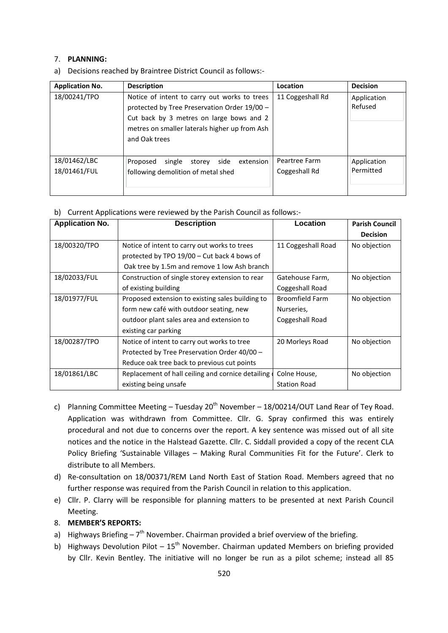## 7. **PLANNING:**

a) Decisions reached by Braintree District Council as follows:-

| <b>Application No.</b>       | <b>Description</b>                                                                                                                                                                                         | Location                       | <b>Decision</b>          |
|------------------------------|------------------------------------------------------------------------------------------------------------------------------------------------------------------------------------------------------------|--------------------------------|--------------------------|
| 18/00241/TPO                 | Notice of intent to carry out works to trees<br>protected by Tree Preservation Order 19/00 -<br>Cut back by 3 metres on large bows and 2<br>metres on smaller laterals higher up from Ash<br>and Oak trees | 11 Coggeshall Rd               | Application<br>Refused   |
| 18/01462/LBC<br>18/01461/FUL | side<br>single<br>extension<br>Proposed<br>storey<br>following demolition of metal shed                                                                                                                    | Peartree Farm<br>Coggeshall Rd | Application<br>Permitted |

|  |  | b) Current Applications were reviewed by the Parish Council as follows:- |  |  |
|--|--|--------------------------------------------------------------------------|--|--|
|--|--|--------------------------------------------------------------------------|--|--|

| <b>Application No.</b> | <b>Description</b>                                | Location               | <b>Parish Council</b> |
|------------------------|---------------------------------------------------|------------------------|-----------------------|
|                        |                                                   |                        | <b>Decision</b>       |
| 18/00320/TPO           | Notice of intent to carry out works to trees      | 11 Coggeshall Road     | No objection          |
|                        | protected by TPO 19/00 - Cut back 4 bows of       |                        |                       |
|                        | Oak tree by 1.5m and remove 1 low Ash branch      |                        |                       |
| 18/02033/FUL           | Construction of single storey extension to rear   | Gatehouse Farm,        | No objection          |
|                        | of existing building                              | Coggeshall Road        |                       |
| 18/01977/FUL           | Proposed extension to existing sales building to  | <b>Broomfield Farm</b> | No objection          |
|                        | form new café with outdoor seating, new           | Nurseries,             |                       |
|                        | outdoor plant sales area and extension to         | Coggeshall Road        |                       |
|                        | existing car parking                              |                        |                       |
| 18/00287/TPO           | Notice of intent to carry out works to tree       | 20 Morleys Road        | No objection          |
|                        | Protected by Tree Preservation Order 40/00 -      |                        |                       |
|                        | Reduce oak tree back to previous cut points       |                        |                       |
| 18/01861/LBC           | Replacement of hall ceiling and cornice detailing | Colne House,           | No objection          |
|                        | existing being unsafe                             | <b>Station Road</b>    |                       |

- c) Planning Committee Meeting Tuesday  $20^{th}$  November 18/00214/OUT Land Rear of Tey Road. Application was withdrawn from Committee. Cllr. G. Spray confirmed this was entirely procedural and not due to concerns over the report. A key sentence was missed out of all site notices and the notice in the Halstead Gazette. Cllr. C. Siddall provided a copy of the recent CLA Policy Briefing 'Sustainable Villages – Making Rural Communities Fit for the Future'. Clerk to distribute to all Members.
- d) Re-consultation on 18/00371/REM Land North East of Station Road. Members agreed that no further response was required from the Parish Council in relation to this application.
- e) Cllr. P. Clarry will be responsible for planning matters to be presented at next Parish Council Meeting.
- 8. **MEMBER'S REPORTS:**
- a) Highways Briefing  $-7<sup>th</sup>$  November. Chairman provided a brief overview of the briefing.
- b) Highways Devolution Pilot  $15<sup>th</sup>$  November. Chairman updated Members on briefing provided by Cllr. Kevin Bentley. The initiative will no longer be run as a pilot scheme; instead all 85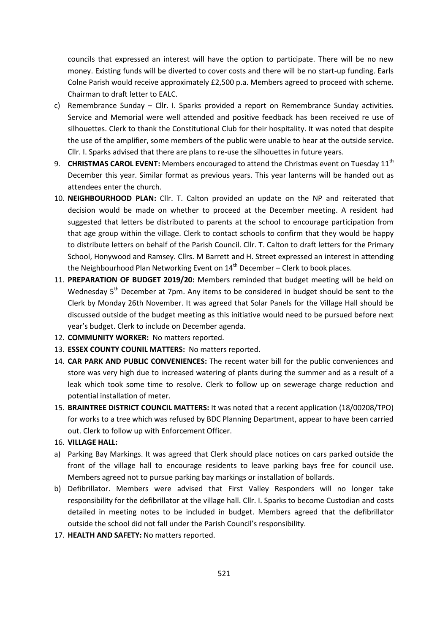councils that expressed an interest will have the option to participate. There will be no new money. Existing funds will be diverted to cover costs and there will be no start-up funding. Earls Colne Parish would receive approximately £2,500 p.a. Members agreed to proceed with scheme. Chairman to draft letter to EALC.

- c) Remembrance Sunday Cllr. I. Sparks provided a report on Remembrance Sunday activities. Service and Memorial were well attended and positive feedback has been received re use of silhouettes. Clerk to thank the Constitutional Club for their hospitality. It was noted that despite the use of the amplifier, some members of the public were unable to hear at the outside service. Cllr. I. Sparks advised that there are plans to re-use the silhouettes in future years.
- 9. **CHRISTMAS CAROL EVENT:** Members encouraged to attend the Christmas event on Tuesday 11<sup>th</sup> December this year. Similar format as previous years. This year lanterns will be handed out as attendees enter the church.
- 10. **NEIGHBOURHOOD PLAN:** Cllr. T. Calton provided an update on the NP and reiterated that decision would be made on whether to proceed at the December meeting. A resident had suggested that letters be distributed to parents at the school to encourage participation from that age group within the village. Clerk to contact schools to confirm that they would be happy to distribute letters on behalf of the Parish Council. Cllr. T. Calton to draft letters for the Primary School, Honywood and Ramsey. Cllrs. M Barrett and H. Street expressed an interest in attending the Neighbourhood Plan Networking Event on  $14<sup>th</sup>$  December – Clerk to book places.
- 11. **PREPARATION OF BUDGET 2019/20:** Members reminded that budget meeting will be held on Wednesday 5<sup>th</sup> December at 7pm. Any items to be considered in budget should be sent to the Clerk by Monday 26th November. It was agreed that Solar Panels for the Village Hall should be discussed outside of the budget meeting as this initiative would need to be pursued before next year's budget. Clerk to include on December agenda.
- 12. **COMMUNITY WORKER:** No matters reported.
- 13. **ESSEX COUNTY COUNIL MATTERS:** No matters reported.
- 14. **CAR PARK AND PUBLIC CONVENIENCES:** The recent water bill for the public conveniences and store was very high due to increased watering of plants during the summer and as a result of a leak which took some time to resolve. Clerk to follow up on sewerage charge reduction and potential installation of meter.
- 15. **BRAINTREE DISTRICT COUNCIL MATTERS:** It was noted that a recent application (18/00208/TPO) for works to a tree which was refused by BDC Planning Department, appear to have been carried out. Clerk to follow up with Enforcement Officer.
- 16. **VILLAGE HALL:**
- a) Parking Bay Markings. It was agreed that Clerk should place notices on cars parked outside the front of the village hall to encourage residents to leave parking bays free for council use. Members agreed not to pursue parking bay markings or installation of bollards.
- b) Defibrillator. Members were advised that First Valley Responders will no longer take responsibility for the defibrillator at the village hall. Cllr. I. Sparks to become Custodian and costs detailed in meeting notes to be included in budget. Members agreed that the defibrillator outside the school did not fall under the Parish Council's responsibility.
- 17. **HEALTH AND SAFETY:** No matters reported.